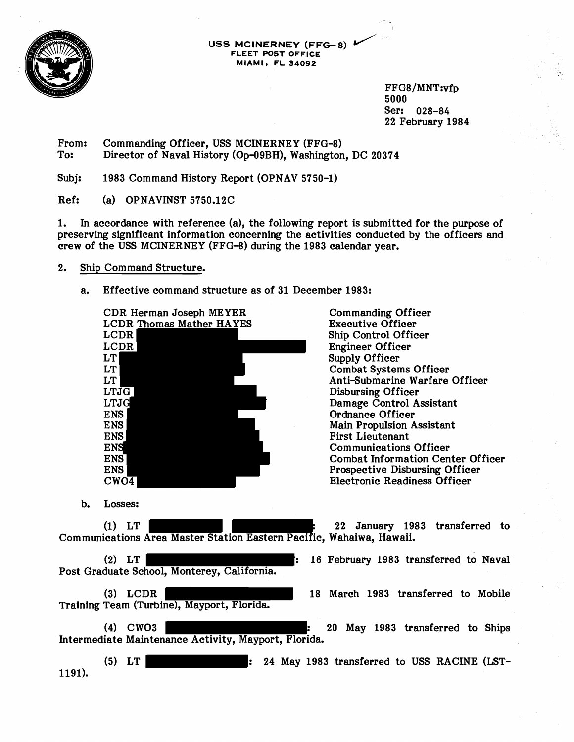

USS MCINERNEY (FFG-8)  $\overline{V}$ **FLEET POST OFFICE MIAMI r FL 34092** 

> FFG8/MNT:vfp 5000 Ser: 028-84 22 February 1984

From: Commanding Officer, USS MCINERNEY (FFG-8)<br>To: Director of Naval History (Op-09BH). Washington Director of Naval History (Op-09BH), Washington, DC 20374

Subj: 1983 Command History Report (OPNAV 5750-1)

Ref: (a) OPNAVINST 5750.12C

1. In accordance with reference (a), the following report is submitted for the purpose of preserving significant information concerning the activities conducted by the officers and crew of the USS MCINERNEY (FFG-8) during the 1983 calendar year.

- 2. Ship Command Structure.
	- a. Effective command structure as of 31 December 1983:

CDR Herman Joseph MEYER LCDR Thomas Mather HAYES LCDR LCDR LT LT LT LTJG LTJG ENS ENS ENS ENS ENS ENS  $CWO<sub>4</sub>$ 

Commanding Officer Executive Officer Ship Control Officer Engineer Officer Supply Officer Combat Systems Officer Anti-Submarine Warfare Officer Disbursing Officer Damage Control Assistant Ordnance Officer Main Propulsion Assistant First Lieutenant Communications Officer Combat Information Center Officer Prospective Disbursing Officer Electronic Readiness Officer

b. Losses:

(1) LT : 22 January 1983 transferred to Communications Area Master Station Eastern Pacific, Wahaiwa, Hawaii.

(2) LT : 16 February 1983 transferred to Naval Post Graduate School, Monterey, California.

Training Team (Turbine), Mayport, Florida.

(3) LCDR 18 March 1983 transferred to Mobile

(4) CW03 : 20 May 1983 transferred to Ships Inter mediate Maintenance Activity, Mayport, Florida.

(5) LT : 24 May 1983 transferred to USS RACINE (LST-1191).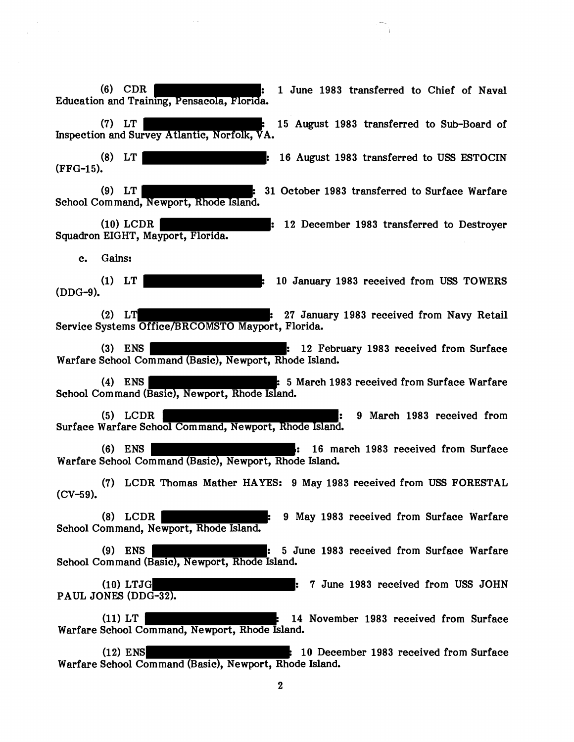**(6)** CDR : 1 June 1983 transferred to Chief of Naval Education and Training, Pensacola, Florida. (7) LT TERRY 15 August 1983 transferred to Sub-Board of Inspection and Survey Atlantic, Norfolk, VA. (8) LT : 16 August 1983 transferred to USS ESTOCIN (FFG-15). (9) LT : 31 October 1983 transferred to Surface Warfare School Command, Newport, Rhode Island. (10) LCDR : 12 December 1983 transferred to Destroyer Squadron EIGHT, Mayport, Florida. c. Gains: (1) LT **I c** is the state of the state of the state of the state of the state of the state of the state of the state of the state of the state of the state of the state of the state of the state of the state of the state (DDG-9). (2) LT : 27 January 1983 received from Navy Retail Service Systems Office/BRCOMSTO Mayport, Florida. (3) ENS **ENS** : 12 February 1983 received from Surface Warfare School Command (Basic), Newport, Rhode Island. (4) ENS TERM : 5 March 1983 received from Surface Warfare School Com mand (Basic), Newport, Rhode Island. (5) LCDR : 9 March 1983 received from Surface Warfare School Command, Newport, Rhode Island. (6) ENS | ENS | the state of the state of the state of the state of the state of the state of the state of the state of the state of the state of the state of the state of the state of the state of the state of the state o Warfare School Command (Basic), Newport, Rhode Island. (7) LCDR Thomas Mather HAYES: 9 May 1983 received from USS FORESTAL (CV-59). (8) LCDR : 9 May 1983 received from Surface Warfare School Command, Newport, Rhode Island. (9) ENS | The Solution of the Suite of the Surface Martiare control of the Surface Warfare School Command (Basic), Newport, Rhode Island. (10) LTJG : 7 June 1983 received from USS JOHN PAUL JONES (DDG-32). (11)  $LT$  : 14 November 1983 received from Surface Warfare School Command, Newport, Rhode Island. (12) ENS : 10 December 1983 received from Surface Warfare School Command (Basic), Newport, Rhode Island.  $\overline{2}$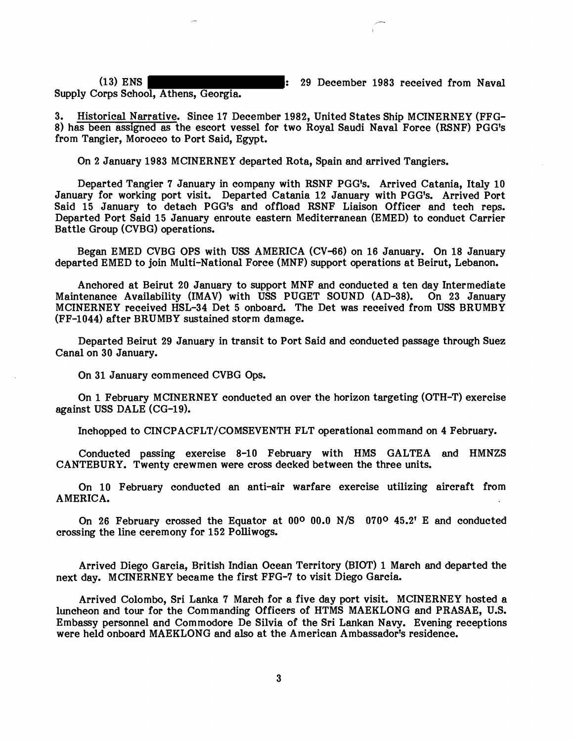Supply Corps School, Athens, Georgia.

(13) ENS : 29 December 1983 received from Naval

3. Historical Narrative. Since 17 December 1982, United States Ship MCINERNEY (FFG-8) has been assigned as the escort vessel for two Royal Saudi Naval Force (RSNF) PGG's from Tangier, Morocco to Port Said, Egypt.

On 2 January 1983 MCINERNEY departed Rota, Spain and arrived Tangiers.

Departed Tangier 7 January in company with RSNF PGG's. Arrived Catania, Italy 10 January for working port visit. Departed Catania 12 January with PGG's. Arrived Port Said 15 January to detach PGG's and offload RSNF Liaison Officer and tech reps. Departed Port Said 15 January enroute eastern Mediterranean (EMED) to conduct Carrier Battle Group (CVBG) operations.

Began EMED CVBG OPS with USS AMERICA (CV-66) on 16 January. On 18 January departed EMED to join Multi-National Force (MNF) support operations at Beirut, Lebanon.

Anchored at Beirut 20 January to support MNF and conducted a ten day Intermediate Maintenance Availability (IMAV) with USS PUGET SOUND (AD-38). On 23 January MCINERNEY received HSL-34 Det 5 onboard. The Det was received from USS BRUMBY (FF-1044) after BRUMBY sustained storm damage.

Departed Beirut 29 January in transit to Port Said and conducted passage through Suez Canal on 30 January.

On 31 January commenced CVBG Ops.

On 1 February MCINERNEY conducted an over the horizon targeting (OTH-T) exercise against USS DALE (CG-19).

Inchopped to CINCPACFLT/COMSEVENTH FLT operational command on 4 February.

Conducted passing exercise 8-10 February with HMS GALTEA and HMNZS CANTEBURY. Twenty crewmen were cross decked between the three units.

On 10 February conducted an anti-air warfare exercise utilizing aircraft from AMERICA.

On 26 February crossed the Equator at 00<sup>o</sup> 00.0 N/S 070<sup>o</sup> 45.2' E and conducted crossing the line ceremony for 152 Polliwogs.

Arrived Diego Garcia, British Indian Ocean Territory (BIOT) 1 March and departed the next day. MCINERNEY became the first FFG-7 to visit Diego Garcia.

Arrived Colombo, Sri Lanka 7 March for a five day port visit. MCINERNEY hosted a luncheon and tour for the Commanding Officers of HTMS MAEKLONG and PRASAE, U.S. Embassy personnel and Commodore De Silvia of the Sri Lankan Navy. Evening receptions were held onboard MAEKLONG and also at the American Ambassador's residence.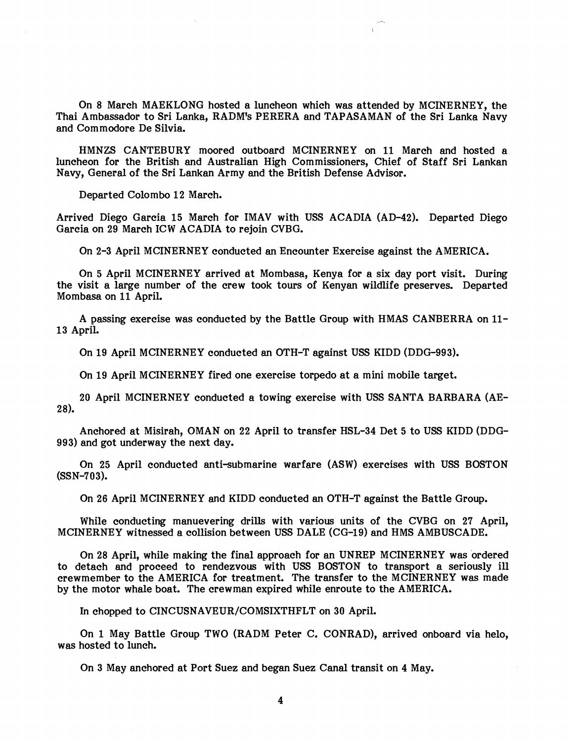On 8 March MAEKLONG hosted a luncheon which was attended by MCINERNEY, the Thai Ambassador to Sri Lanka, RADM's PERERA and TAPASAMAN of the Sri Lanka Navy and Commodore De Silvia.

HMNZS CANTEBURY moored outboard MCINERNEY on 11 March and hosted a luncheon for the British and Australian High Commissioners, Chief of Staff Sri Lankan Navy, General of the Sri Lankan Army and the British Defense Advisor.

Departed Colombo 12 March.

Arrived Diego Garcia 15 March for IMAV with USS ACADIA (AD-42). Departed Diego Garcia on 29 March ICW ACADIA to rejoin CVBG.

On 2-3 April MCINERNEY conducted an Encounter Exercise against the AMERICA.

On 5 April MCINERNEY arrived at Mombasa, Kenya for a six day port visit. During the visit a large number of the crew took tours of Kenyan wildlife preserves. Departed Mombasa on 11 April.

A passing exercise was conducted by the Battle Group with HMAS CANBERRA on 11- 13 April.

On 19 April MCINERNEY conducted an OTH-T against USS KIDD (DDG-993).

On 19 April MCINERNEY fired one exercise torpedo at a mini mobile target.

20 April MCINERNEY conducted a towing exercise with USS SANTA BARBARA (AE-28).

Anchored at Misirah, OMAN on 22 April to transfer HSL-34 Det 5 to USS KIDD (DDG-993) and got underway the next day.

On 25 April conducted anti-submarine warfare (ASW) exercises with USS BOSTON (SSN-703).

On 26 April MCINERNEY and KIDD conducted an OTH-T against the Battle Group.

While conducting manuevering drills with various units of the CVBG on 27 April, MCINERNEY witnessed a collision between USS DALE (CG-19) and HMS AMBUSCADE.

On 28 April, while making the final approach for an UNREP MCINERNEY was ordered to detach and proceed to rendezvous with USS BOSTON to transport a seriously ill crewmember to the AMERICA for treatment. The transfer to the MCINERNEY was made by the motor whale boat. The crewman expired while enroute to the AMERICA.

In chopped to CINCUSNAVEUR/COMSIXTHFLT on 30 April.

On 1 May Battle Group TWO (RADM Peter C. CONRAD), arrived onboard via helo, was hosted to lunch.

On 3 May anchored at Port Suez and began Suez Canal transit on 4 May.